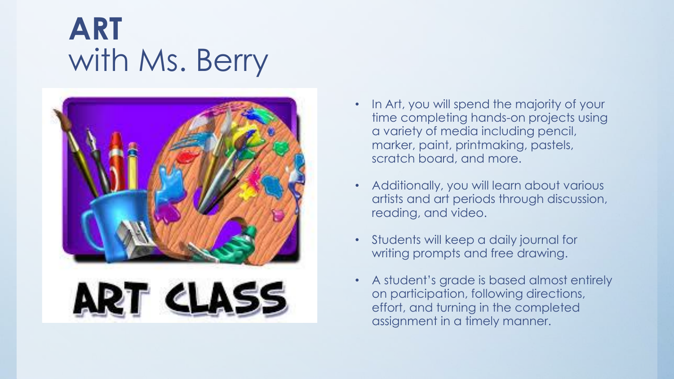### **ART** with Ms. Berry



- In Art, you will spend the majority of your time completing hands-on projects using a variety of media including pencil, marker, paint, printmaking, pastels, scratch board, and more.
- Additionally, you will learn about various artists and art periods through discussion, reading, and video.
- Students will keep a daily journal for writing prompts and free drawing.
- A student's grade is based almost entirely on participation, following directions, effort, and turning in the completed assignment in a timely manner.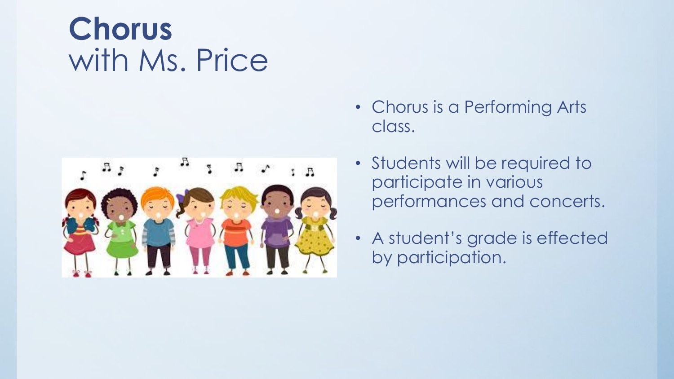# **Chorus** with Ms. Price



- Chorus is a Performing Arts class.
- Students will be required to participate in various performances and concerts.
- A student's grade is effected by participation.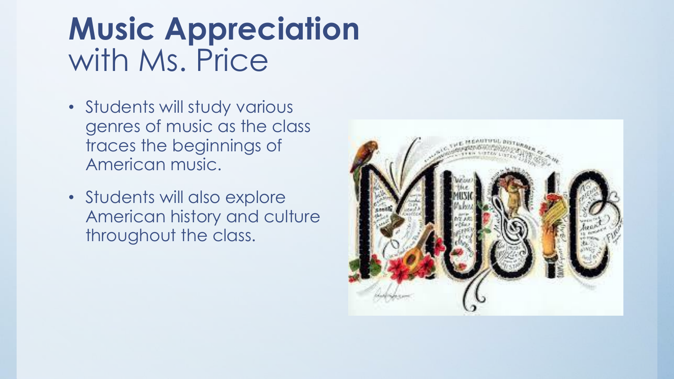# **Music Appreciation** with Ms. Price

- Students will study various genres of music as the class traces the beginnings of American music.
- Students will also explore American history and culture throughout the class.

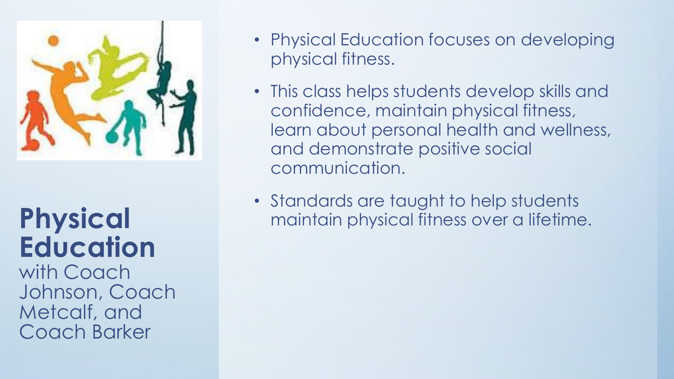

# **Physical Education**

with Coach Johnson, Coach Metcalf, and Coach Barker

- Physical Education focuses on developing physical fitness.
- This class helps students develop skills and confidence, maintain physical fitness, learn about personal health and wellness, and demonstrate positive social communication.
- Standards are taught to help students maintain physical fitness over a lifetime.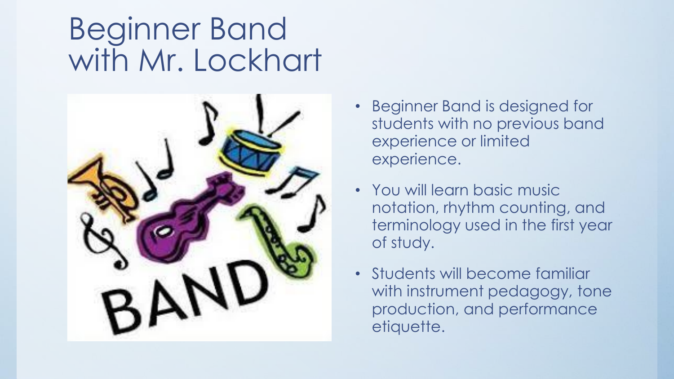### Beginner Band with Mr. Lockhart



- Beginner Band is designed for students with no previous band experience or limited experience.
- You will learn basic music notation, rhythm counting, and terminology used in the first year of study.
- Students will become familiar with instrument pedagogy, tone production, and performance etiquette.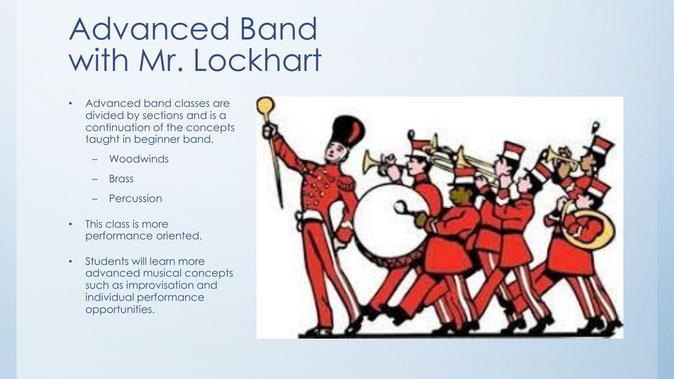## Advanced Band with Mr. Lockhart

- Advanced band classes are divided by sections and is a continuation of the concepts taught in beginner band.
	- Woodwinds
	- Brass
	- Percussion
- This class is more performance oriented.
- Students will learn more advanced musical concepts such as improvisation and individual performance opportunities.

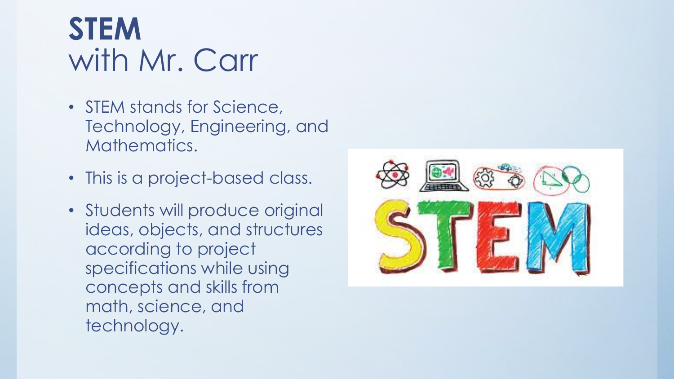# **STEM** with Mr. Carr

- STEM stands for Science, Technology, Engineering, and Mathematics.
- This is a project-based class.
- Students will produce original ideas, objects, and structures according to project specifications while using concepts and skills from math, science, and technology.

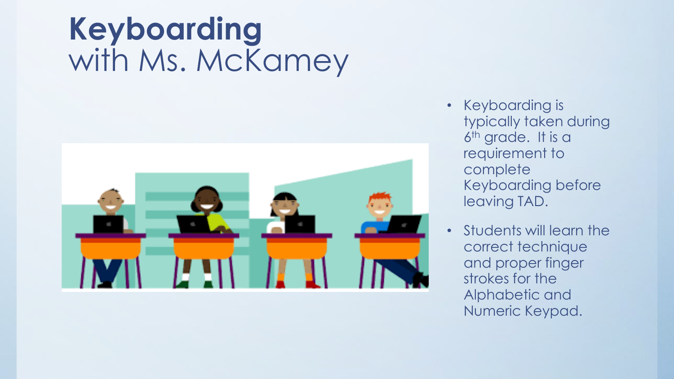# **Keyboarding** with Ms. McKamey



- Keyboarding is typically taken during 6 th grade. It is a requirement to complete Keyboarding before leaving TAD.
- Students will learn the correct technique and proper finger strokes for the Alphabetic and Numeric Keypad.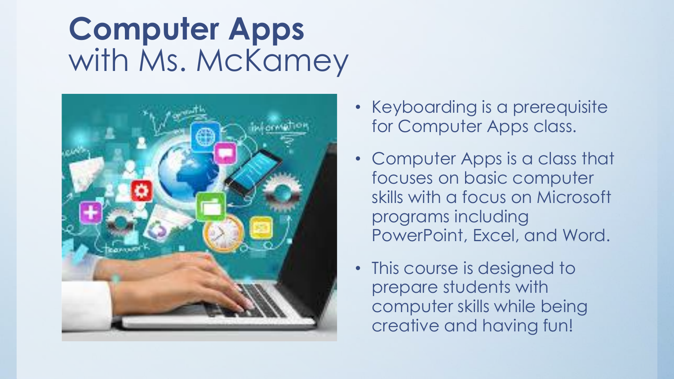# **Computer Apps** with Ms. McKamey



- Keyboarding is a prerequisite for Computer Apps class.
- Computer Apps is a class that focuses on basic computer skills with a focus on Microsoft programs including PowerPoint, Excel, and Word.
- This course is designed to prepare students with computer skills while being creative and having fun!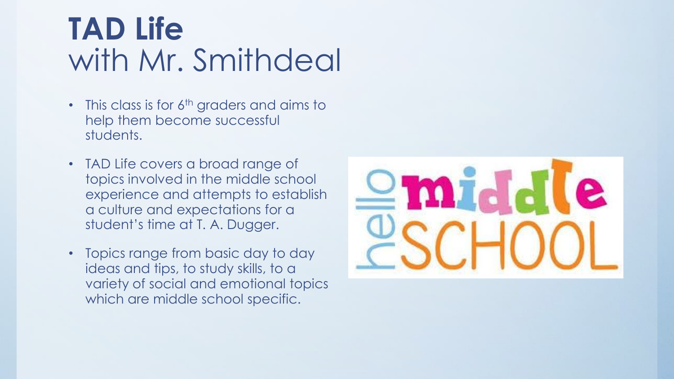### **TAD Life** with Mr. Smithdeal

- This class is for  $6<sup>th</sup>$  graders and aims to help them become successful students.
- TAD Life covers a broad range of topics involved in the middle school experience and attempts to establish a culture and expectations for a student's time at T. A. Dugger.
- Topics range from basic day to day ideas and tips, to study skills, to a variety of social and emotional topics which are middle school specific.

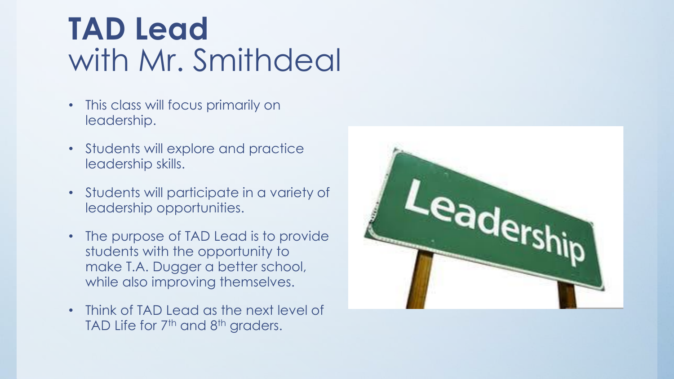# **TAD Lead** with Mr. Smithdeal

- This class will focus primarily on leadership.
- Students will explore and practice leadership skills.
- Students will participate in a variety of leadership opportunities.
- The purpose of TAD Lead is to provide students with the opportunity to make T.A. Dugger a better school, while also improving themselves.
- Think of TAD Lead as the next level of TAD Life for 7<sup>th</sup> and 8<sup>th</sup> graders.

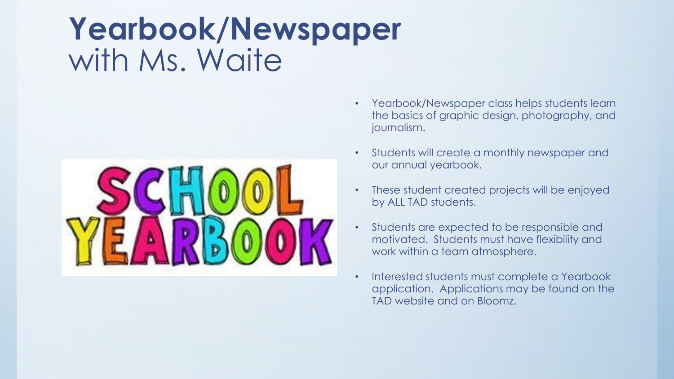#### **Yearbook/Newspaper** with Ms. Waite



- Yearbook/Newspaper class helps students learn the basics of graphic design, photography, and journalism.
- Students will create a monthly newspaper and our annual yearbook.
- These student created projects will be enjoyed by ALL TAD students.
- Students are expected to be responsible and motivated. Students must have flexibility and work within a team atmosphere.
- Interested students must complete a Yearbook application. Applications may be found on the TAD website and on Bloomz.